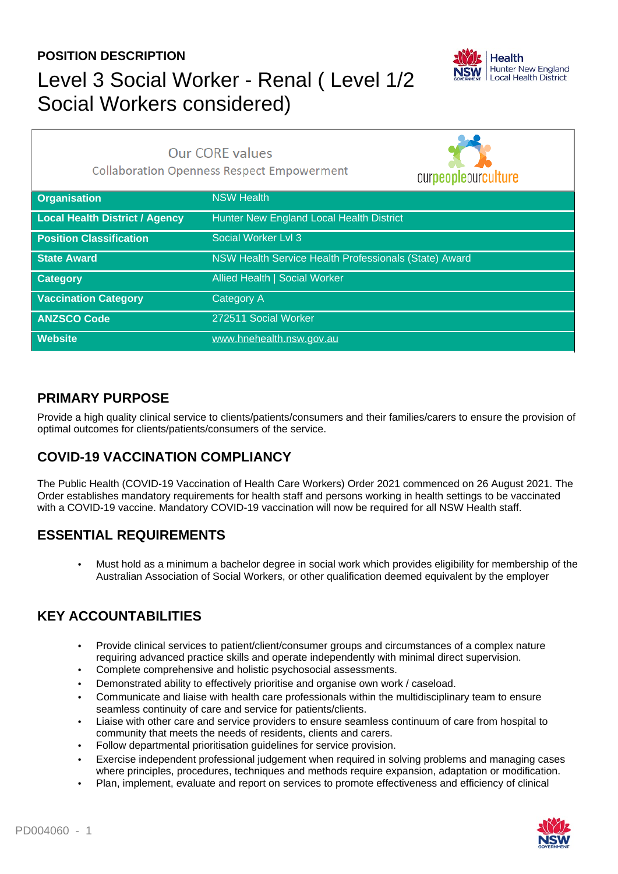## **POSITION DESCRIPTION** Level 3 Social Worker - Renal ( Level 1/2 Social Workers considered)



 $\overline{\phantom{a}}$ 

| <b>Our CORE values</b><br><b>Collaboration Openness Respect Empowerment</b> |                                                       | ourpeopleourculture |
|-----------------------------------------------------------------------------|-------------------------------------------------------|---------------------|
| <b>Organisation</b>                                                         | <b>NSW Health</b>                                     |                     |
| <b>Local Health District / Agency</b>                                       | Hunter New England Local Health District              |                     |
| <b>Position Classification</b>                                              | Social Worker Lvl 3                                   |                     |
| <b>State Award</b>                                                          | NSW Health Service Health Professionals (State) Award |                     |
| Category                                                                    | <b>Allied Health   Social Worker</b>                  |                     |
| <b>Vaccination Category</b>                                                 | Category A                                            |                     |
| <b>ANZSCO Code</b>                                                          | 272511 Social Worker                                  |                     |
| <b>Website</b>                                                              | www.hnehealth.nsw.gov.au                              |                     |

### **PRIMARY PURPOSE**

Provide a high quality clinical service to clients/patients/consumers and their families/carers to ensure the provision of optimal outcomes for clients/patients/consumers of the service.

### **COVID-19 VACCINATION COMPLIANCY**

The Public Health (COVID-19 Vaccination of Health Care Workers) Order 2021 commenced on 26 August 2021. The Order establishes mandatory requirements for health staff and persons working in health settings to be vaccinated with a COVID-19 vaccine. Mandatory COVID-19 vaccination will now be required for all NSW Health staff.

### **ESSENTIAL REQUIREMENTS**

• Must hold as a minimum a bachelor degree in social work which provides eligibility for membership of the Australian Association of Social Workers, or other qualification deemed equivalent by the employer

### **KEY ACCOUNTABILITIES**

- Provide clinical services to patient/client/consumer groups and circumstances of a complex nature requiring advanced practice skills and operate independently with minimal direct supervision.
- Complete comprehensive and holistic psychosocial assessments.
- Demonstrated ability to effectively prioritise and organise own work / caseload.
- Communicate and liaise with health care professionals within the multidisciplinary team to ensure seamless continuity of care and service for patients/clients.
- Liaise with other care and service providers to ensure seamless continuum of care from hospital to community that meets the needs of residents, clients and carers.
- Follow departmental prioritisation guidelines for service provision.
- Exercise independent professional judgement when required in solving problems and managing cases where principles, procedures, techniques and methods require expansion, adaptation or modification.
- Plan, implement, evaluate and report on services to promote effectiveness and efficiency of clinical

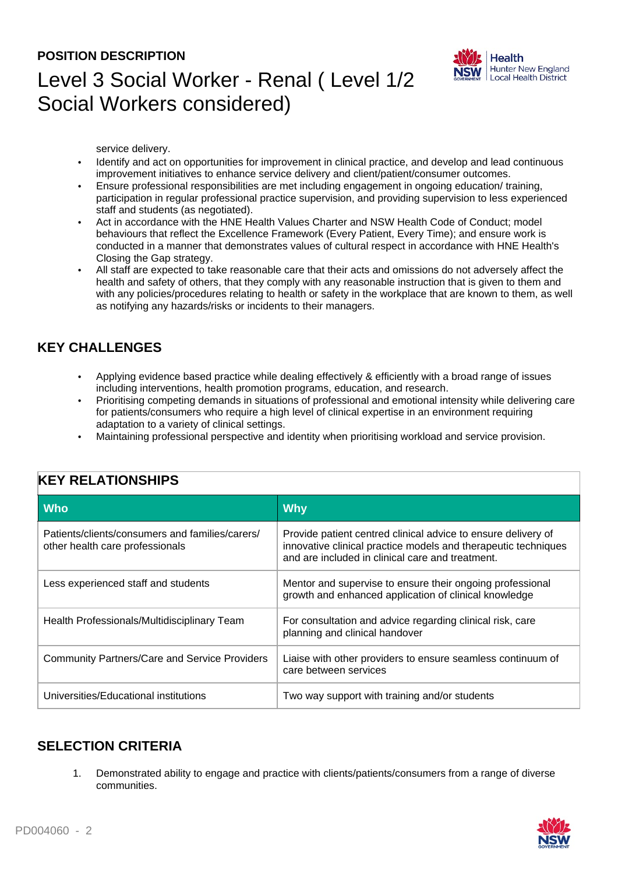#### **POSITION DESCRIPTION**



# Level 3 Social Worker - Renal ( Level 1/2 Social Workers considered)

service delivery.

- Identify and act on opportunities for improvement in clinical practice, and develop and lead continuous improvement initiatives to enhance service delivery and client/patient/consumer outcomes.
- Ensure professional responsibilities are met including engagement in ongoing education/ training, participation in regular professional practice supervision, and providing supervision to less experienced staff and students (as negotiated).
- Act in accordance with the HNE Health Values Charter and NSW Health Code of Conduct; model behaviours that reflect the Excellence Framework (Every Patient, Every Time); and ensure work is conducted in a manner that demonstrates values of cultural respect in accordance with HNE Health's Closing the Gap strategy.
- All staff are expected to take reasonable care that their acts and omissions do not adversely affect the health and safety of others, that they comply with any reasonable instruction that is given to them and with any policies/procedures relating to health or safety in the workplace that are known to them, as well as notifying any hazards/risks or incidents to their managers.

### **KEY CHALLENGES**

- Applying evidence based practice while dealing effectively & efficiently with a broad range of issues including interventions, health promotion programs, education, and research.
- Prioritising competing demands in situations of professional and emotional intensity while delivering care for patients/consumers who require a high level of clinical expertise in an environment requiring adaptation to a variety of clinical settings.
- Maintaining professional perspective and identity when prioritising workload and service provision.

| <b>Who</b>                                                                         | <b>Why</b>                                                                                                                                                                          |  |  |
|------------------------------------------------------------------------------------|-------------------------------------------------------------------------------------------------------------------------------------------------------------------------------------|--|--|
| Patients/clients/consumers and families/carers/<br>other health care professionals | Provide patient centred clinical advice to ensure delivery of<br>innovative clinical practice models and therapeutic techniques<br>and are included in clinical care and treatment. |  |  |
| Less experienced staff and students                                                | Mentor and supervise to ensure their ongoing professional<br>growth and enhanced application of clinical knowledge                                                                  |  |  |
| Health Professionals/Multidisciplinary Team                                        | For consultation and advice regarding clinical risk, care<br>planning and clinical handover                                                                                         |  |  |
| <b>Community Partners/Care and Service Providers</b>                               | Liaise with other providers to ensure seamless continuum of<br>care between services                                                                                                |  |  |
| Universities/Educational institutions                                              | Two way support with training and/or students                                                                                                                                       |  |  |

### **KEY RELATIONSHIPS**

### **SELECTION CRITERIA**

1. Demonstrated ability to engage and practice with clients/patients/consumers from a range of diverse communities.